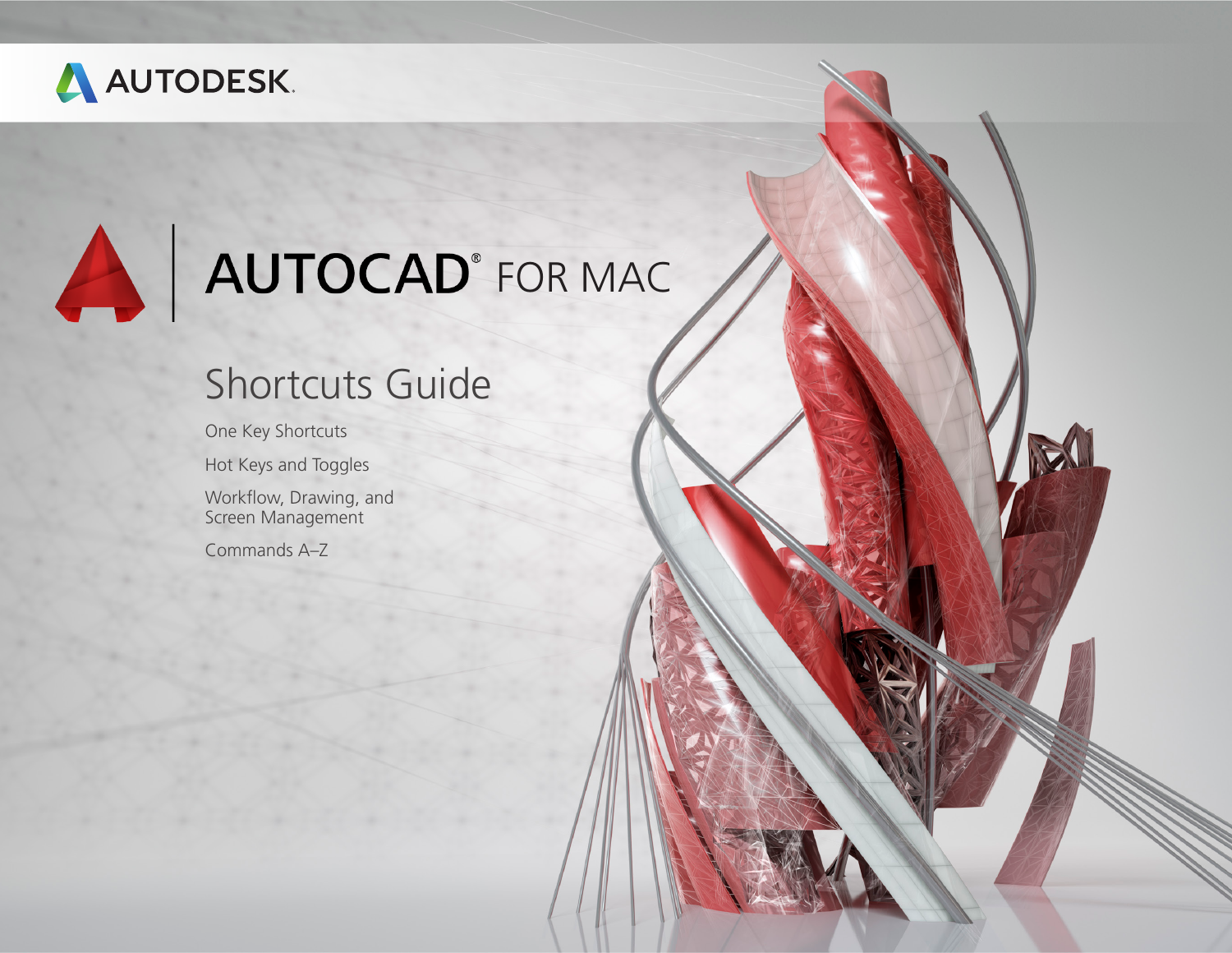

# AUTOCAD<sup>®</sup> FOR MAC

### Shortcuts Guide

One Key Shortcuts

Hot Keys and Toggles

Workflow, Drawing, and Screen Management

Commands A–Z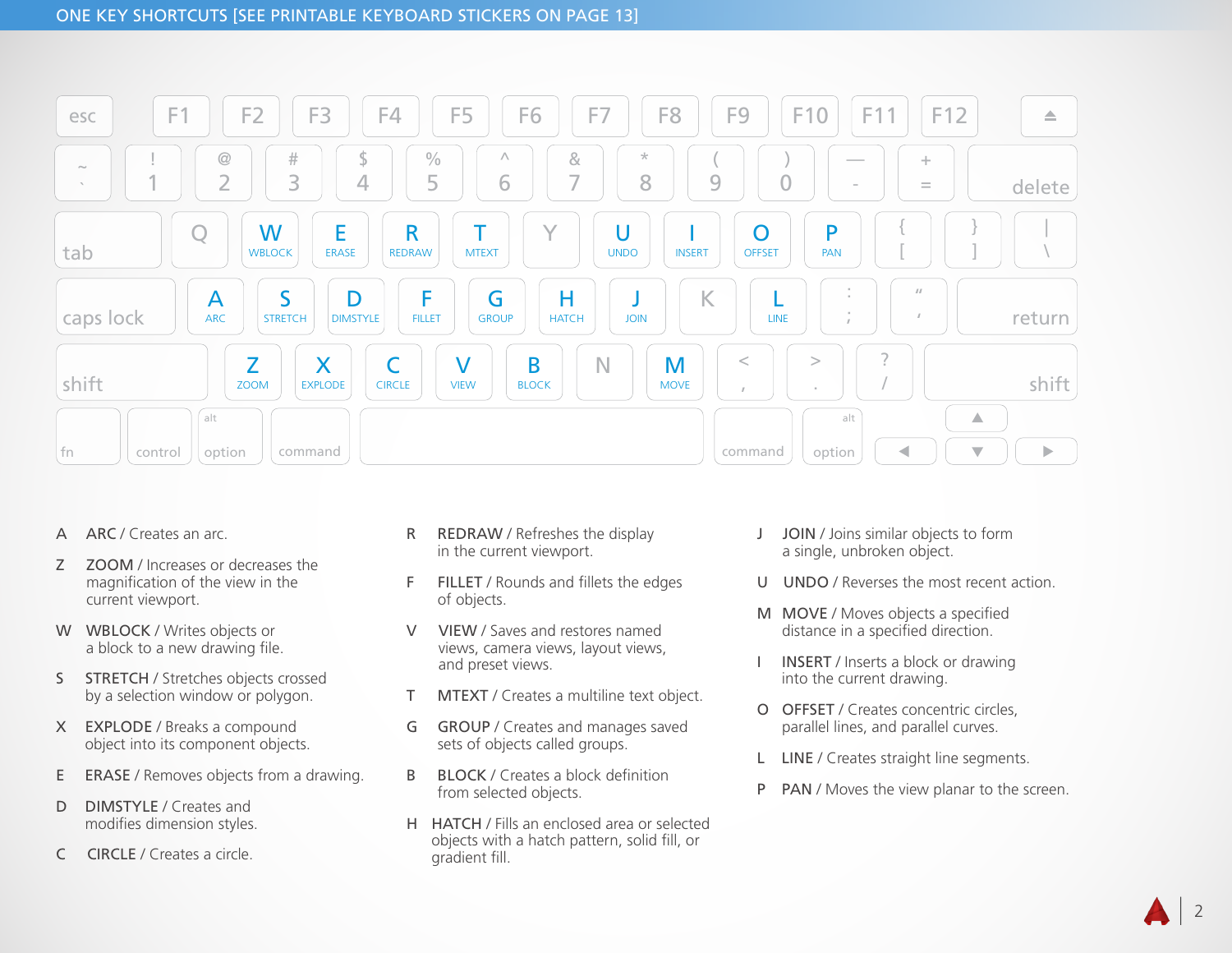

- A ARC / Creates an arc.
- Z ZOOM / Increases or decreases the magnification of the view in the current viewport.
- W WBLOCK / Writes objects or a block to a new drawing file.
- S STRETCH / Stretches objects crossed by a selection window or polygon.
- X EXPLODE / Breaks a compound object into its component objects.
- E **ERASE** / Removes objects from a drawing.
- D **DIMSTYLE** / Creates and modifies dimension styles.
- C CIRCLE / Creates a circle.
- R REDRAW / Refreshes the display in the current viewport.
- F FILLET / Rounds and fillets the edges of objects.
- V VIEW / Saves and restores named views, camera views, layout views, and preset views.
- T MTEXT / Creates a multiline text object.
- G GROUP / Creates and manages saved sets of objects called groups.
- B BLOCK / Creates a block definition from selected objects.
- H HATCH / Fills an enclosed area or selected objects with a hatch pattern, solid fill, or gradient fill.
- J JOIN / Joins similar objects to form a single, unbroken object.
- U UNDO / Reverses the most recent action.
- M MOVE / Moves objects a specified distance in a specified direction.
- I INSERT / Inserts a block or drawing into the current drawing.
- O OFFSET / Creates concentric circles, parallel lines, and parallel curves.
- L LINE / Creates straight line segments.
- P PAN / Moves the view planar to the screen.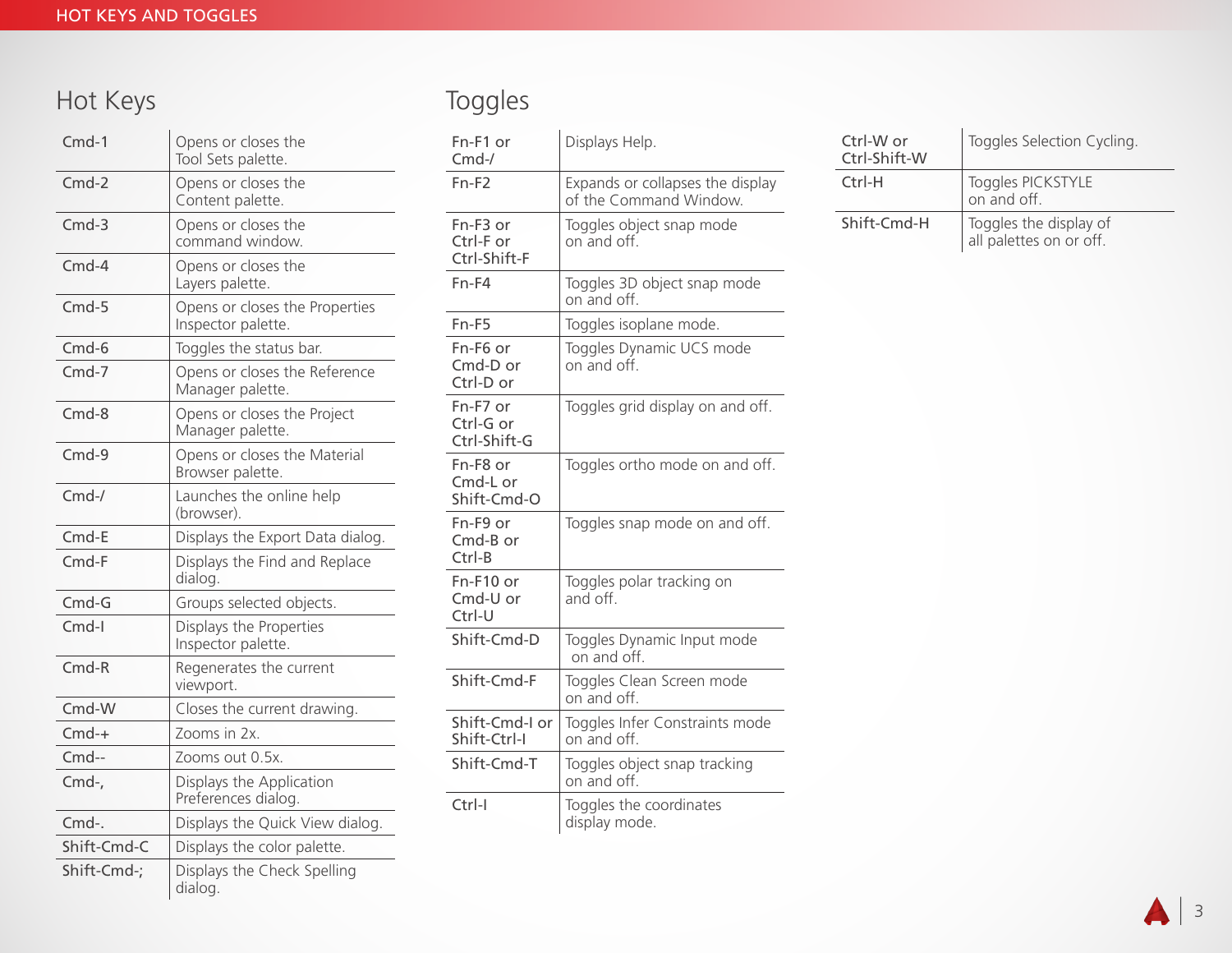### Hot Keys

| $Cmd-1$     | Opens or closes the<br>Tool Sets palette.            |
|-------------|------------------------------------------------------|
| $Cmd-2$     | Opens or closes the<br>Content palette.              |
| $Cmd-3$     | Opens or closes the<br>command window.               |
| $Cmd-4$     | Opens or closes the<br>Layers palette.               |
| $Cmd-5$     | Opens or closes the Properties<br>Inspector palette. |
| $Cmd-6$     | Toggles the status bar.                              |
| $Cmd-7$     | Opens or closes the Reference<br>Manager palette.    |
| $Cmd-8$     | Opens or closes the Project<br>Manager palette.      |
| $Cmd-9$     | Opens or closes the Material<br>Browser palette.     |
| $Cmd-$ /    | Launches the online help<br>(browser).               |
| Cmd-E       | Displays the Export Data dialog.                     |
| $Cmd-F$     | Displays the Find and Replace<br>dialog.             |
| $Cmd-G$     | Groups selected objects.                             |
| $Cmd-I$     | Displays the Properties<br>Inspector palette.        |
| $Cmd-R$     | Regenerates the current<br>viewport.                 |
| $Cmd-W$     | Closes the current drawing.                          |
| $Cmd-+$     | Zooms in 2x.                                         |
| $Cmd-$      | Zooms out 0.5x.                                      |
| Cmd-,       | Displays the Application<br>Preferences dialog.      |
| Cmd-.       | Displays the Quick View dialog.                      |
| Shift-Cmd-C | Displays the color palette.                          |
| Shift-Cmd-; | Displays the Check Spelling<br>dialog.               |

### Toggles

| Fn-F1 or<br>$Cmd-$ /                  | Displays Help.                                             |
|---------------------------------------|------------------------------------------------------------|
| $Fn-F2$                               | Expands or collapses the display<br>of the Command Window. |
| Fn-F3 or<br>Ctrl-F or<br>Ctrl-Shift-F | Toggles object snap mode<br>on and off.                    |
| $Fn-F4$                               | Toggles 3D object snap mode<br>on and off.                 |
| $Fn-F5$                               | Toggles isoplane mode.                                     |
| Fn-F6 or<br>$Cmd-D$ or<br>Ctrl-D or   | Toggles Dynamic UCS mode<br>on and off.                    |
| Fn-F7 or<br>Ctrl-G or<br>Ctrl-Shift-G | Toggles grid display on and off.                           |
| Fn-F8 or<br>Cmd-L or<br>Shift-Cmd-O   | Toggles ortho mode on and off.                             |
| Fn-F9 or<br>Cmd-B or<br>$Ctrl-B$      | Toggles snap mode on and off.                              |
| Fn-F10 or<br>Cmd-U or<br>Ctrl-U       | Toggles polar tracking on<br>and off.                      |
| Shift-Cmd-D                           | Toggles Dynamic Input mode<br>on and off.                  |
| Shift-Cmd-F                           | Toggles Clean Screen mode<br>on and off.                   |
| Shift-Cmd-I or<br>Shift-Ctrl-I        | Toggles Infer Constraints mode<br>on and off.              |
| Shift-Cmd-T                           | Toggles object snap tracking<br>on and off.                |
| Ctrl-I                                | Toggles the coordinates<br>display mode.                   |

| Ctrl-W or<br>Ctrl-Shift-W | Toggles Selection Cycling.                        |
|---------------------------|---------------------------------------------------|
| $Ctrl-H$                  | Toggles PICKSTYLE<br>on and off.                  |
| Shift-Cmd-H               | Toggles the display of<br>all palettes on or off. |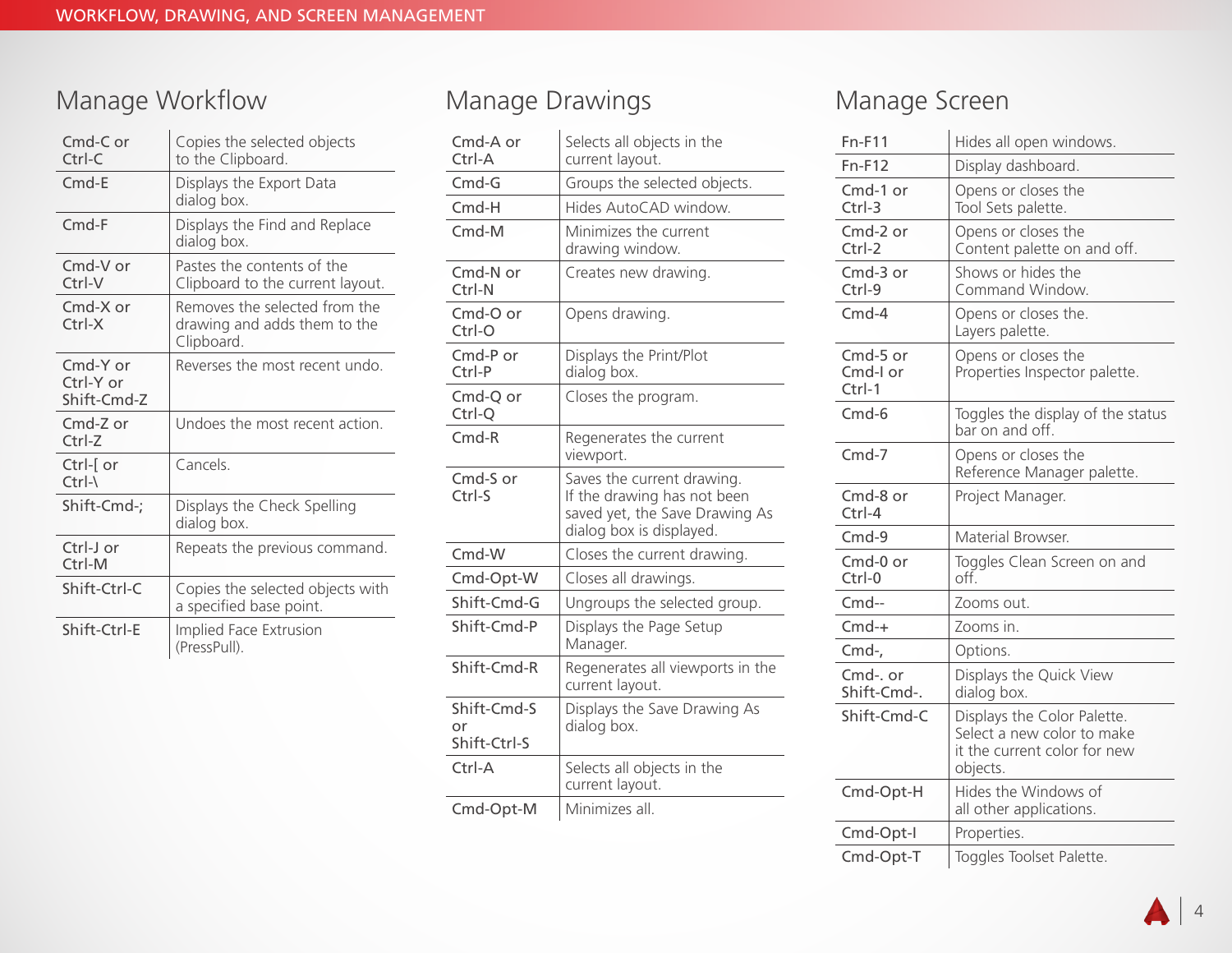### Manage Workflow

| $Cmd-C$ or<br>$Ctrl-C$               | Copies the selected objects<br>to the Clipboard.                            |
|--------------------------------------|-----------------------------------------------------------------------------|
| $Cmd-E$                              | Displays the Export Data<br>dialog box.                                     |
| $Cmd-F$                              | Displays the Find and Replace<br>dialog box.                                |
| Cmd-V or<br>$Ctrl-V$                 | Pastes the contents of the<br>Clipboard to the current layout.              |
| $Cmd-X$ or<br>$Ctrl-X$               | Removes the selected from the<br>drawing and adds them to the<br>Clipboard. |
| Cmd-Y or<br>Ctrl-Y or<br>Shift-Cmd-Z | Reverses the most recent undo.                                              |
| Cmd-Z or<br>$Ctrl-Z$                 | Undoes the most recent action.                                              |
| Ctrl-[ or<br>$Ctrl - \lambda$        | Cancels.                                                                    |
| Shift-Cmd-;                          | Displays the Check Spelling<br>dialog box.                                  |
| Ctrl-J or<br>Ctrl-M                  | Repeats the previous command.                                               |
| Shift-Ctrl-C                         | Copies the selected objects with<br>a specified base point.                 |
| Shift-Ctrl-E                         | Implied Face Extrusion<br>(PressPull).                                      |

### Manage Drawings

| Cmd-A or<br>Ctrl-A                | Selects all objects in the<br>current layout.                                                                           |
|-----------------------------------|-------------------------------------------------------------------------------------------------------------------------|
| $Cmd-G$                           | Groups the selected objects.                                                                                            |
| $Cmd-H$                           | Hides AutoCAD window.                                                                                                   |
| $Cmd-M$                           | Minimizes the current<br>drawing window.                                                                                |
| Cmd-N or<br>Ctrl-N                | Creates new drawing.                                                                                                    |
| Cmd-O or<br>Ctrl-O                | Opens drawing.                                                                                                          |
| $Cmd-P$ or<br>Ctrl-P              | Displays the Print/Plot<br>dialog box.                                                                                  |
| Cmd-Q or<br>Ctrl-Q                | Closes the program.                                                                                                     |
| $Cmd-R$                           | Regenerates the current<br>viewport.                                                                                    |
| Cmd-S or<br>Ctrl-S                | Saves the current drawing.<br>If the drawing has not been<br>saved yet, the Save Drawing As<br>dialog box is displayed. |
| Cmd-W                             | Closes the current drawing.                                                                                             |
| Cmd-Opt-W                         | Closes all drawings.                                                                                                    |
| Shift-Cmd-G                       | Ungroups the selected group.                                                                                            |
| Shift-Cmd-P                       | Displays the Page Setup<br>Manager.                                                                                     |
| Shift-Cmd-R                       | Regenerates all viewports in the<br>current layout.                                                                     |
| Shift-Cmd-S<br>or<br>Shift-Ctrl-S | Displays the Save Drawing As<br>dialog box.                                                                             |
| Ctrl-A                            | Selects all objects in the<br>current layout.                                                                           |
| Cmd-Opt-M                         | Minimizes all.                                                                                                          |

### Manage Screen

| $Fn-F11$                         | Hides all open windows.                                                                               |
|----------------------------------|-------------------------------------------------------------------------------------------------------|
| $Fn-F12$                         | Display dashboard.                                                                                    |
| Cmd-1 or<br>$Ctrl-3$             | Opens or closes the<br>Tool Sets palette.                                                             |
| Cmd-2 or<br>Ctrl-2               | Opens or closes the<br>Content palette on and off.                                                    |
| Cmd-3 or<br>$Ctrl-9$             | Shows or hides the<br>Command Window.                                                                 |
| $Cmd-4$                          | Opens or closes the.<br>Layers palette.                                                               |
| Cmd-5 or<br>Cmd-I or<br>$Ctrl-1$ | Opens or closes the<br>Properties Inspector palette.                                                  |
| $Cmd-6$                          | Toggles the display of the status<br>bar on and off.                                                  |
| $Cmd-7$                          | Opens or closes the<br>Reference Manager palette.                                                     |
| Cmd-8 or<br>$Ctrl-4$             | Project Manager.                                                                                      |
| $Cmd-9$                          | Material Browser.                                                                                     |
| Cmd-0 or<br>Ctrl-0               | Toggles Clean Screen on and<br>off.                                                                   |
| $Cmd-$                           | Zooms out.                                                                                            |
| $Cmd-+$                          | Zooms in.                                                                                             |
| Cmd-,                            | Options.                                                                                              |
| Cmd-. or<br>Shift-Cmd-.          | Displays the Quick View<br>dialog box.                                                                |
| Shift-Cmd-C                      | Displays the Color Palette.<br>Select a new color to make<br>it the current color for new<br>objects. |
| Cmd-Opt-H                        | Hides the Windows of<br>all other applications.                                                       |
| Cmd-Opt-I                        | Properties.                                                                                           |
| Cmd-Opt-T                        | Toggles Toolset Palette.                                                                              |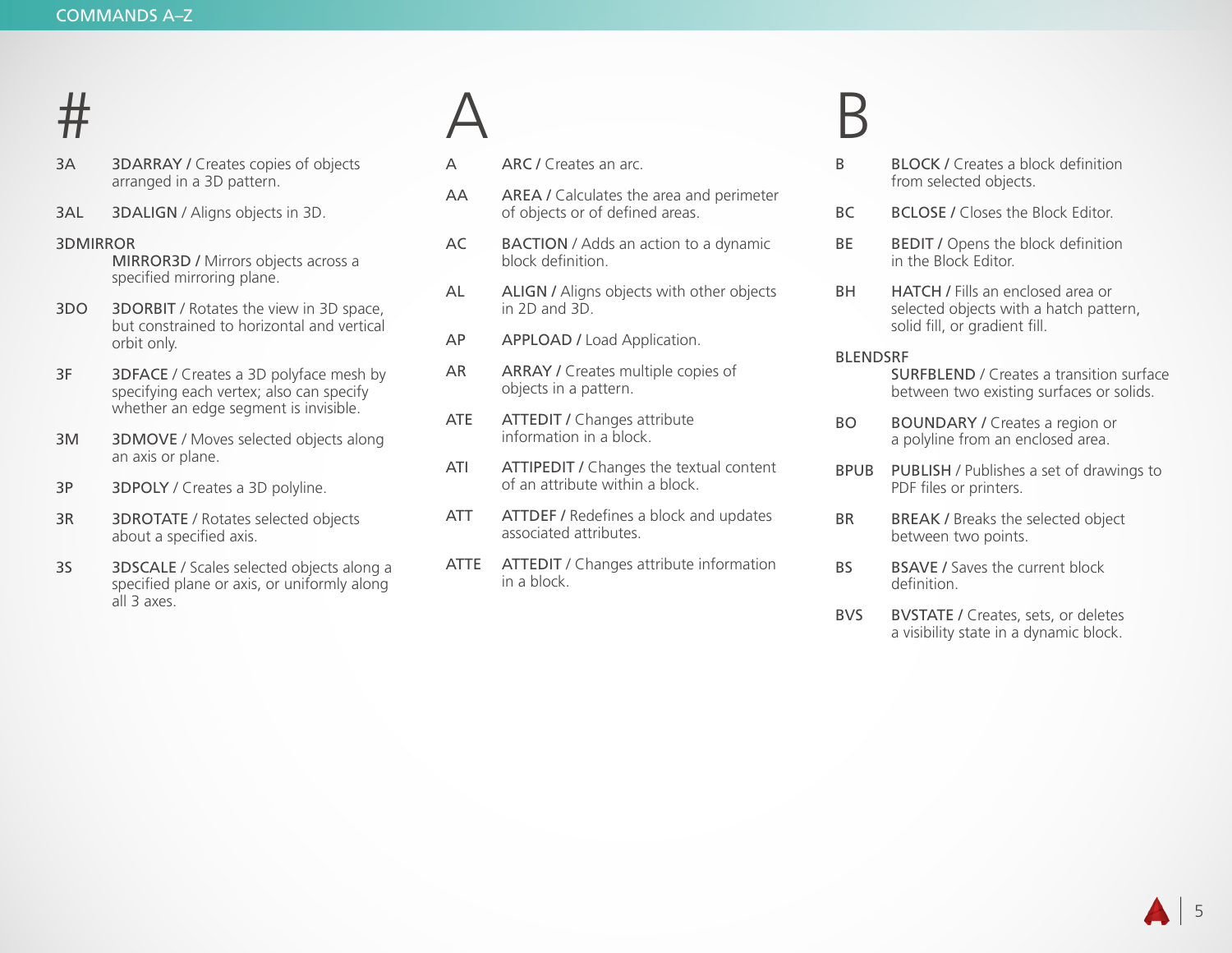### #

- 3A 3DARRAY / Creates copies of objects arranged in a 3D pattern.
- 3AL 3DALIGN / Aligns objects in 3D.

### 3DMIRROR

 MIRROR3D / Mirrors objects across a specified mirroring plane.

- 3DO 3DORBIT / Rotates the view in 3D space, but constrained to horizontal and vertical orbit only.
- 3F 3DFACE / Creates a 3D polyface mesh by specifying each vertex; also can specify whether an edge segment is invisible.
- 3M 3DMOVE / Moves selected objects along an axis or plane.
- 3P 3DPOLY / Creates a 3D polyline.
- 3R 3DROTATE / Rotates selected objects about a specified axis.
- 3S 3DSCALE / Scales selected objects along a specified plane or axis, or uniformly along all 3 axes.

### A

- A ARC / Creates an arc.
- AA AREA / Calculates the area and perimeter of objects or of defined areas.
- AC BACTION / Adds an action to a dynamic block definition.
- AL ALIGN / Aligns objects with other objects in 2D and 3D.
- AP APPLOAD / Load Application.
- AR ARRAY / Creates multiple copies of objects in a pattern.
- ATE ATTEDIT / Changes attribute information in a block.
- ATI ATTIPEDIT / Changes the textual content of an attribute within a block.
- ATT ATTDEF / Redefines a block and updates associated attributes.
- ATTE ATTEDIT / Changes attribute information in a block.

### B

- B BLOCK / Creates a block definition from selected objects.
- BC BCLOSE / Closes the Block Editor.
- BE BEDIT / Opens the block definition in the Block Editor.
- BH HATCH / Fills an enclosed area or selected objects with a hatch pattern, solid fill, or gradient fill.

### BLENDSRF

- SURFBLEND / Creates a transition surface between two existing surfaces or solids.
- BO BOUNDARY / Creates a region or a polyline from an enclosed area.
- BPUB PUBLISH / Publishes a set of drawings to PDF files or printers.
- BR BREAK / Breaks the selected object between two points.
- BS BSAVE / Saves the current block definition.
- BVS BVSTATE / Creates, sets, or deletes a visibility state in a dynamic block.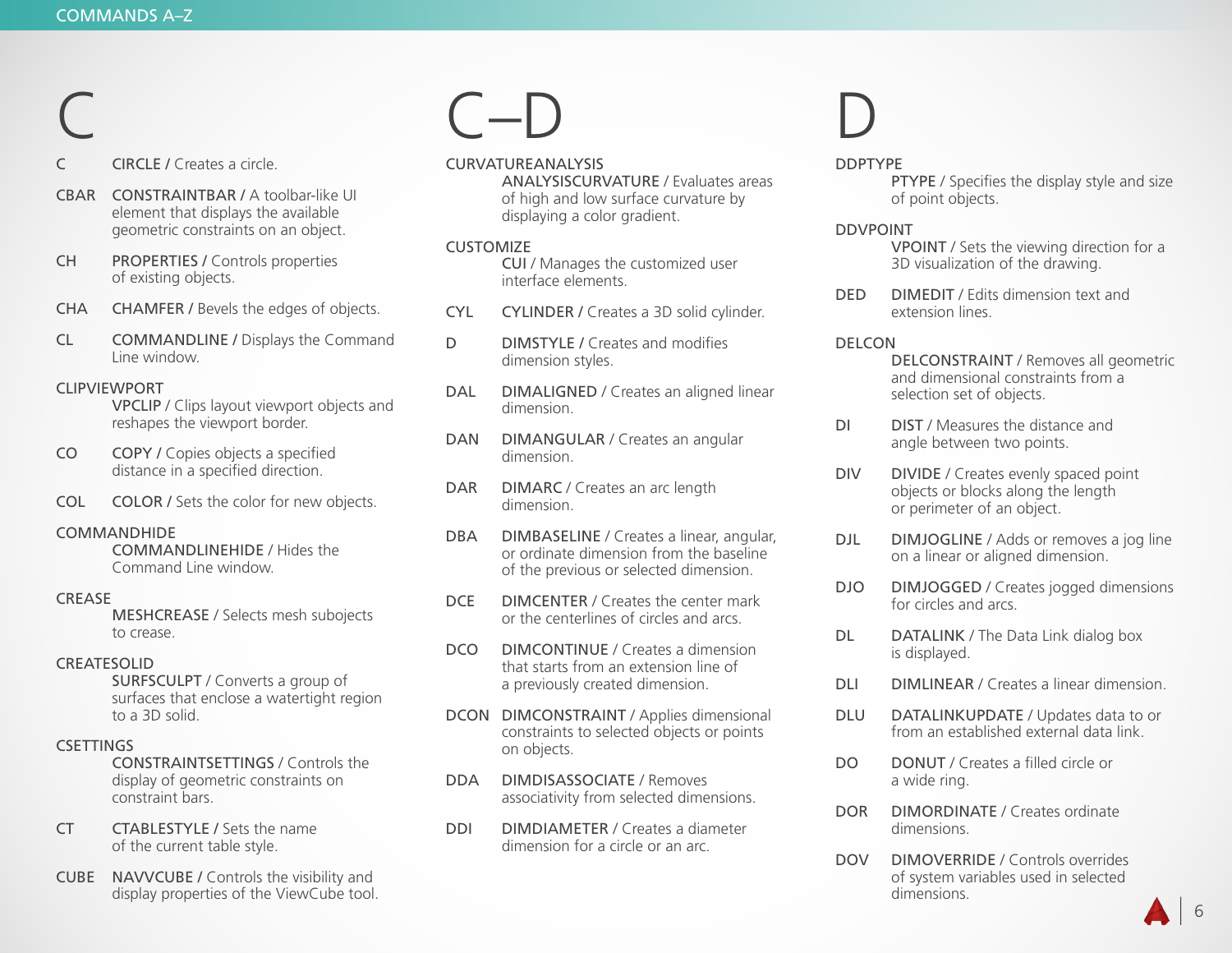### C

CIRCLE / Creates a circle.

- CBAR CONSTRAINTBAR / A toolbar-like UI element that displays the available geometric constraints on an object.
- CH PROPERTIES / Controls properties of existing objects.
- CHA CHAMFER / Bevels the edges of objects.
- CL COMMANDLINE / Displays the Command Line window.

### CLIPVIEWPORT

VPCLIP / Clips layout viewport objects and reshapes the viewport border.

- CO COPY / Copies objects a specified distance in a specified direction.
- COL COLOR / Sets the color for new objects.

### COMMANDHIDE

 COMMANDLINEHIDE / Hides the Command Line window.

### **CREASE**

 MESHCREASE / Selects mesh subojects to crease.

### CREATESOLID

 SURFSCULPT / Converts a group of surfaces that enclose a watertight region to a 3D solid.

### **CSETTINGS**

 CONSTRAINTSETTINGS / Controls the display of geometric constraints on constraint bars.

- CT CTABLESTYLE / Sets the name of the current table style.
- CUBE NAVVCUBE / Controls the visibility and display properties of the ViewCube tool.

### $\Box$

CURVATUREANALYSIS

 ANALYSISCURVATURE / Evaluates areas of high and low surface curvature by displaying a color gradient.

### **CUSTOMIZE**

 CUI / Manages the customized user interface elements.

- CYL CYLINDER / Creates a 3D solid cylinder.
- D **DIMSTYLE / Creates and modifies** dimension styles.
- DAL DIMALIGNED / Creates an aligned linear dimension.
- DAN DIMANGULAR / Creates an angular dimension.
- DAR DIMARC / Creates an arc length dimension.
- DBA DIMBASELINE / Creates a linear, angular, or ordinate dimension from the baseline of the previous or selected dimension.
- DCE DIMCENTER / Creates the center mark or the centerlines of circles and arcs.
- DCO DIMCONTINUE / Creates a dimension that starts from an extension line of a previously created dimension.
- DCON DIMCONSTRAINT / Applies dimensional constraints to selected objects or points on objects.
- DDA DIMDISASSOCIATE / Removes associativity from selected dimensions.
- DDI DIMDIAMETER / Creates a diameter dimension for a circle or an arc.

### D

### DDPTYPE

PTYPE / Specifies the display style and size of point objects.

### DDVPOINT

 VPOINT / Sets the viewing direction for a 3D visualization of the drawing.

DED DIMEDIT / Edits dimension text and extension lines.

### DELCON

 DELCONSTRAINT / Removes all geometric and dimensional constraints from a selection set of objects.

- DI DIST / Measures the distance and angle between two points.
- DIV DIVIDE / Creates evenly spaced point objects or blocks along the length or perimeter of an object.
- DJL DIMJOGLINE / Adds or removes a jog line on a linear or aligned dimension.
- DJO DIMJOGGED / Creates jogged dimensions for circles and arcs.
- DL DATALINK / The Data Link dialog box is displayed.
- DLI DIMLINEAR / Creates a linear dimension.
- DLU DATALINKUPDATE / Updates data to or from an established external data link.
- DO DONUT / Creates a filled circle or a wide ring.
- DOR DIMORDINATE / Creates ordinate dimensions.
- DOV DIMOVERRIDE / Controls overrides of system variables used in selected dimensions.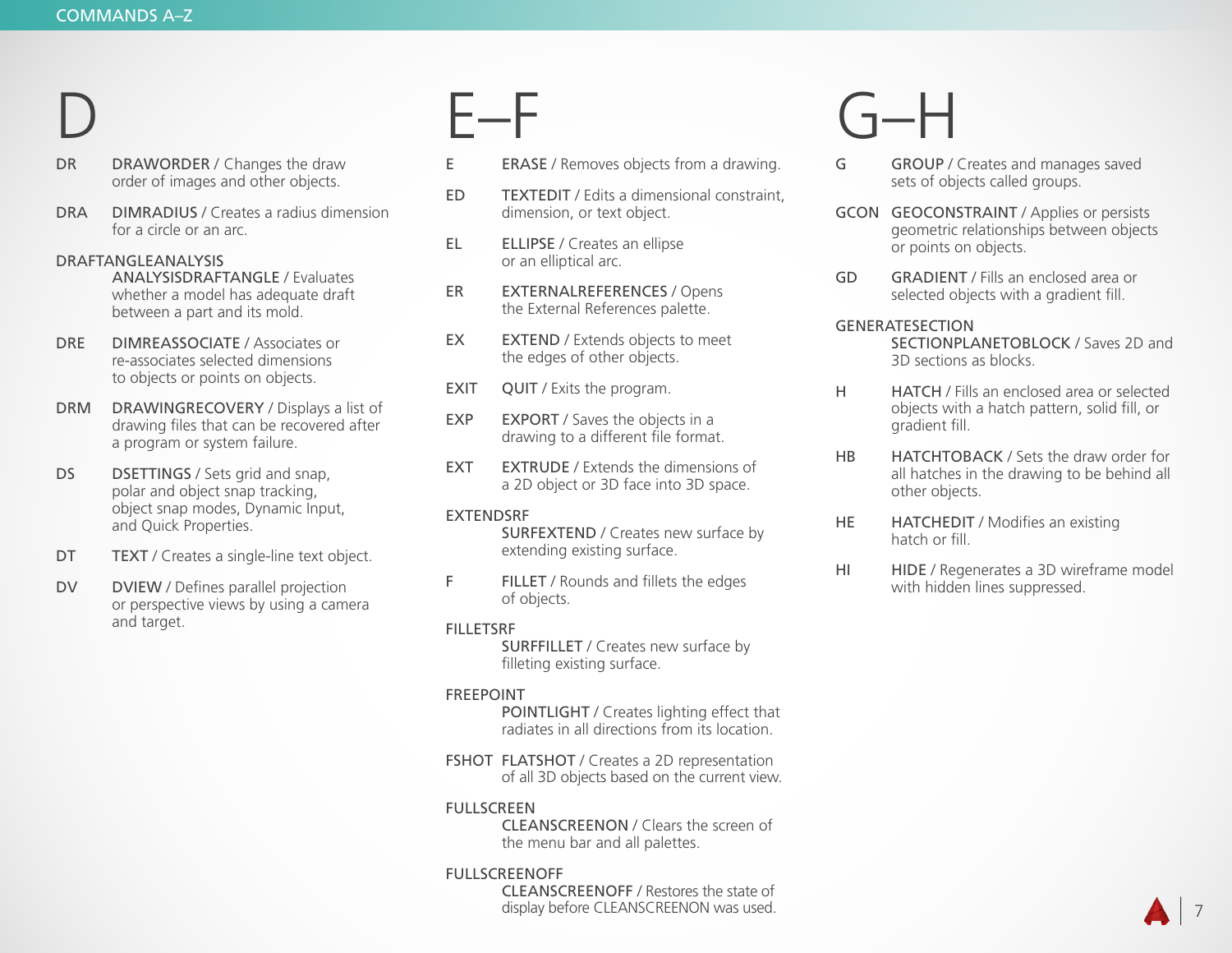### D

- DR DRAWORDER / Changes the draw order of images and other objects.
- DRA DIMRADIUS / Creates a radius dimension for a circle or an arc.

### DRAFTANGLEANALYSIS

 ANALYSISDRAFTANGLE / Evaluates whether a model has adequate draft between a part and its mold.

- DRE DIMREASSOCIATE / Associates or re-associates selected dimensions to objects or points on objects.
- DRM DRAWINGRECOVERY / Displays a list of drawing files that can be recovered after a program or system failure.
- DS DSETTINGS / Sets grid and snap, polar and object snap tracking, object snap modes, Dynamic Input, and Quick Properties.
- DT **TEXT** / Creates a single-line text object.
- DV DVIEW / Defines parallel projection or perspective views by using a camera and target.

### E–F

- E ERASE / Removes objects from a drawing.
- ED TEXTEDIT / Edits a dimensional constraint, dimension, or text object.
- EL ELLIPSE / Creates an ellipse or an elliptical arc.
- ER EXTERNALREFERENCES / Opens the External References palette.
- EX EXTEND / Extends objects to meet the edges of other objects.
- EXIT QUIT / Exits the program.
- EXP EXPORT / Saves the objects in a drawing to a different file format.
- EXT EXTRUDE / Extends the dimensions of a 2D object or 3D face into 3D space.

### EXTENDSRF

 SURFEXTEND / Creates new surface by extending existing surface.

F FILLET / Rounds and fillets the edges of objects.

### FILLETSRF

 SURFFILLET / Creates new surface by filleting existing surface.

### FREEPOINT

 POINTLIGHT / Creates lighting effect that radiates in all directions from its location.

FSHOT FLATSHOT / Creates a 2D representation of all 3D objects based on the current view.

### FULLSCREEN

 CLEANSCREENON / Clears the screen of the menu bar and all palettes.

### FULLSCREENOFF

 CLEANSCREENOFF / Restores the state of display before CLEANSCREENON was used.

## G–H

- G GROUP / Creates and manages saved sets of objects called groups.
- GCON GEOCONSTRAINT / Applies or persists geometric relationships between objects or points on objects.
- GD GRADIENT / Fills an enclosed area or selected objects with a gradient fill.

### GENERATESECTION

 SECTIONPLANETOBLOCK / Saves 2D and 3D sections as blocks.

- H HATCH / Fills an enclosed area or selected objects with a hatch pattern, solid fill, or gradient fill.
- HB HATCHTOBACK / Sets the draw order for all hatches in the drawing to be behind all other objects.
- HE **HATCHEDIT** / Modifies an existing hatch or fill.
- HI HIDE / Regenerates a 3D wireframe model with hidden lines suppressed.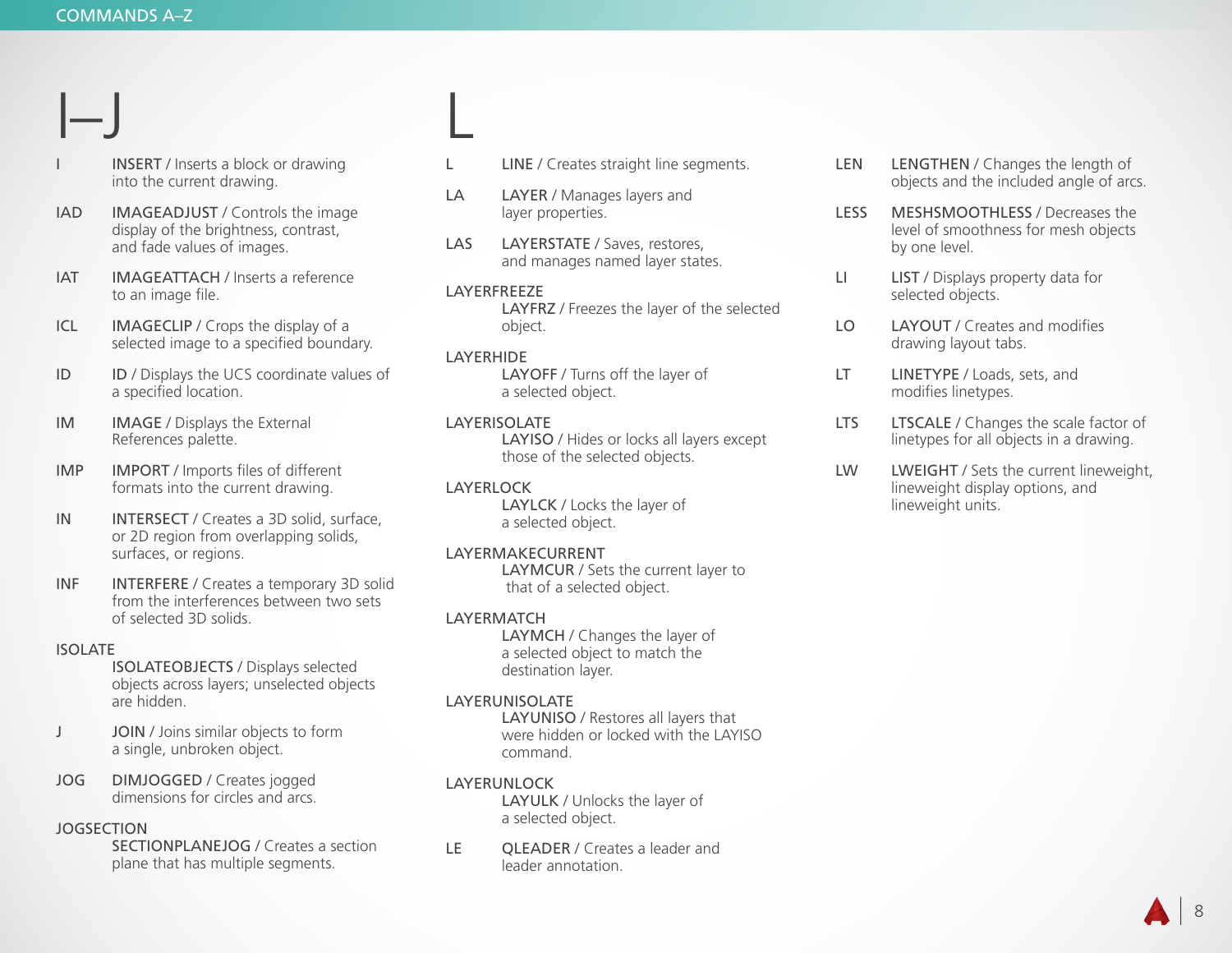$|-$ 

- INSERT / Inserts a block or drawing into the current drawing.
- IAD IMAGEADJUST / Controls the image display of the brightness, contrast, and fade values of images.
- IAT IMAGEATTACH / Inserts a reference to an image file.
- ICL IMAGECLIP / Crops the display of a selected image to a specified boundary.
- ID ID / Displays the UCS coordinate values of a specified location.
- IM IMAGE / Displays the External References palette.
- IMP IMPORT / Imports files of different formats into the current drawing.
- IN INTERSECT / Creates a 3D solid, surface, or 2D region from overlapping solids, surfaces, or regions.
- INF INTERFERE / Creates a temporary 3D solid from the interferences between two sets of selected 3D solids.

### ISOLATE

 ISOLATEOBJECTS / Displays selected objects across layers; unselected objects are hidden.

- J JOIN / Joins similar objects to form a single, unbroken object.
- JOG DIMJOGGED / Creates jogged dimensions for circles and arcs.

### JOGSECTION

 SECTIONPLANEJOG / Creates a section plane that has multiple segments.

- L **LINE** / Creates straight line segments.
- LA LAYER / Manages layers and layer properties.
- LAS LAYERSTATE / Saves, restores, and manages named layer states.
- LAYERFREEZE LAYFRZ / Freezes the layer of the selected object.

### LAYERHIDE

L

 LAYOFF / Turns off the layer of a selected object.

### LAYERISOLATE

 LAYISO / Hides or locks all layers except those of the selected objects.

### LAYERLOCK

LAYLCK / Locks the layer of a selected object.

### LAYERMAKECURRENT

 LAYMCUR / Sets the current layer to that of a selected object.

### LAYERMATCH

 LAYMCH / Changes the layer of a selected object to match the destination layer.

### LAYERUNISOLATE

 LAYUNISO / Restores all layers that were hidden or locked with the LAYISO command.

### LAYERUNLOCK

LAYULK / Unlocks the layer of a selected object.

LE QLEADER / Creates a leader and leader annotation.

- LEN LENGTHEN / Changes the length of objects and the included angle of arcs.
- LESS MESHSMOOTHLESS / Decreases the level of smoothness for mesh objects by one level.
- LI LIST / Displays property data for selected objects.
- LO LAYOUT / Creates and modifies drawing layout tabs.
- LT **LINETYPE** / Loads, sets, and modifies linetypes.
- LTS LTSCALE / Changes the scale factor of linetypes for all objects in a drawing.
- LW LWEIGHT / Sets the current lineweight, lineweight display options, and lineweight units.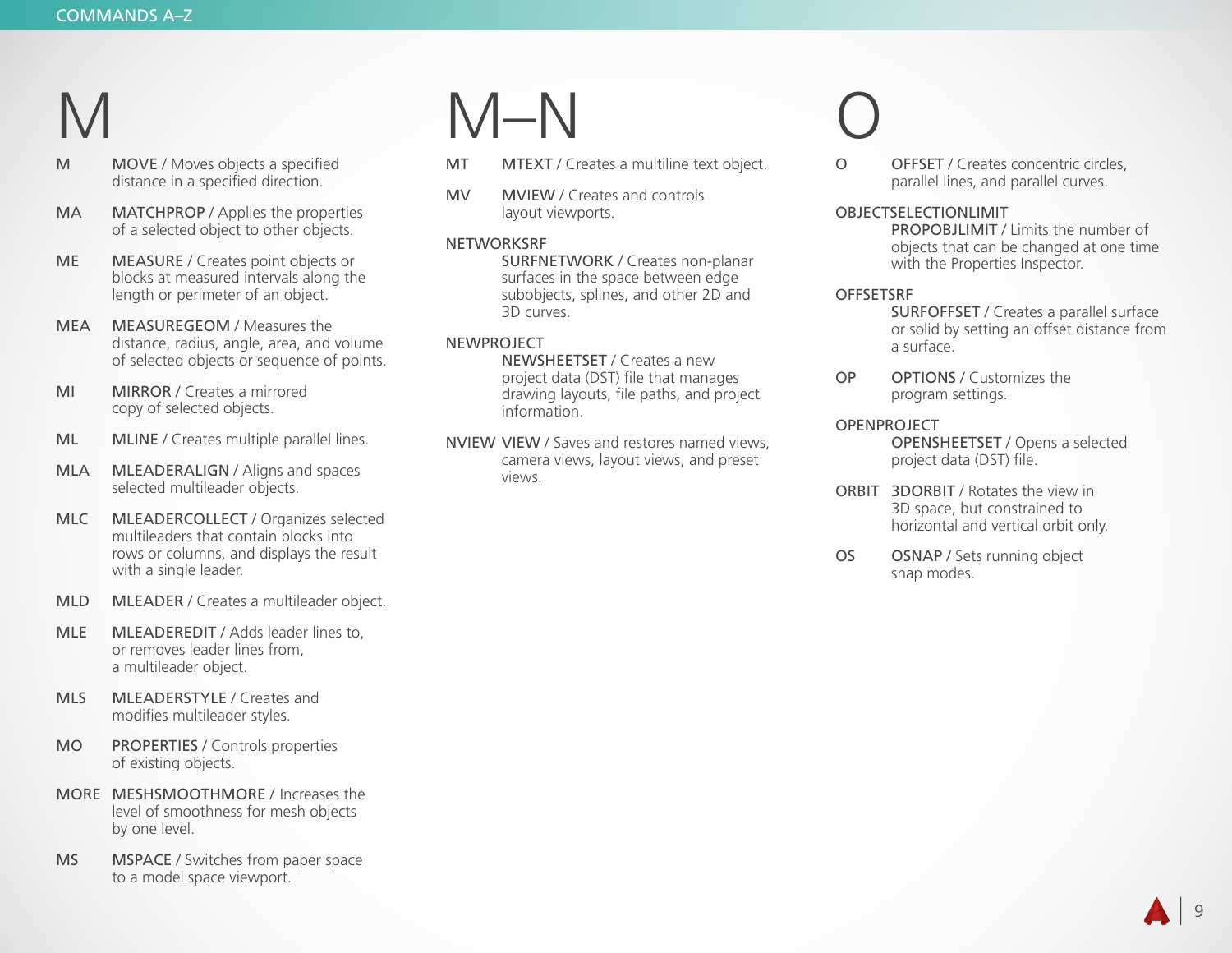## M

- M MOVE / Moves objects a specified distance in a specified direction.
- MA MATCHPROP / Applies the properties of a selected object to other objects.
- ME MEASURE / Creates point objects or blocks at measured intervals along the length or perimeter of an object.
- MEA MEASUREGEOM / Measures the distance, radius, angle, area, and volume of selected objects or sequence of points.
- MI MIRROR / Creates a mirrored copy of selected objects.
- ML MLINE / Creates multiple parallel lines.
- MLA MLEADERALIGN / Aligns and spaces selected multileader objects.
- MLC MLEADERCOLLECT / Organizes selected multileaders that contain blocks into rows or columns, and displays the result with a single leader.
- MLD MLEADER / Creates a multileader object.
- MLE MLEADEREDIT / Adds leader lines to. or removes leader lines from, a multileader object.
- MLS MLEADERSTYLE / Creates and modifies multileader styles.
- MO PROPERTIES / Controls properties of existing objects.
- MORE MESHSMOOTHMORE / Increases the level of smoothness for mesh objects by one level.
- MS MSPACE / Switches from paper space to a model space viewport.

## M–N

- MT MTEXT / Creates a multiline text object.
- MV MVIEW / Creates and controls layout viewports.

### **NETWORKSRF**

 SURFNETWORK / Creates non-planar surfaces in the space between edge subobjects, splines, and other 2D and 3D curves.

### NEWPROJECT

 NEWSHEETSET / Creates a new project data (DST) file that manages drawing layouts, file paths, and project information.

NVIEW VIEW / Saves and restores named views, camera views, layout views, and preset views.

## O

O OFFSET / Creates concentric circles, parallel lines, and parallel curves.

#### OBJECTSELECTIONLIMIT

 PROPOBJLIMIT / Limits the number of objects that can be changed at one time with the Properties Inspector.

### **OFFSETSRF**

 SURFOFFSET / Creates a parallel surface or solid by setting an offset distance from a surface.

OP OPTIONS / Customizes the program settings.

### OPENPROJECT

 OPENSHEETSET / Opens a selected project data (DST) file.

- ORBIT 3DORBIT / Rotates the view in 3D space, but constrained to horizontal and vertical orbit only.
- OS OSNAP / Sets running object snap modes.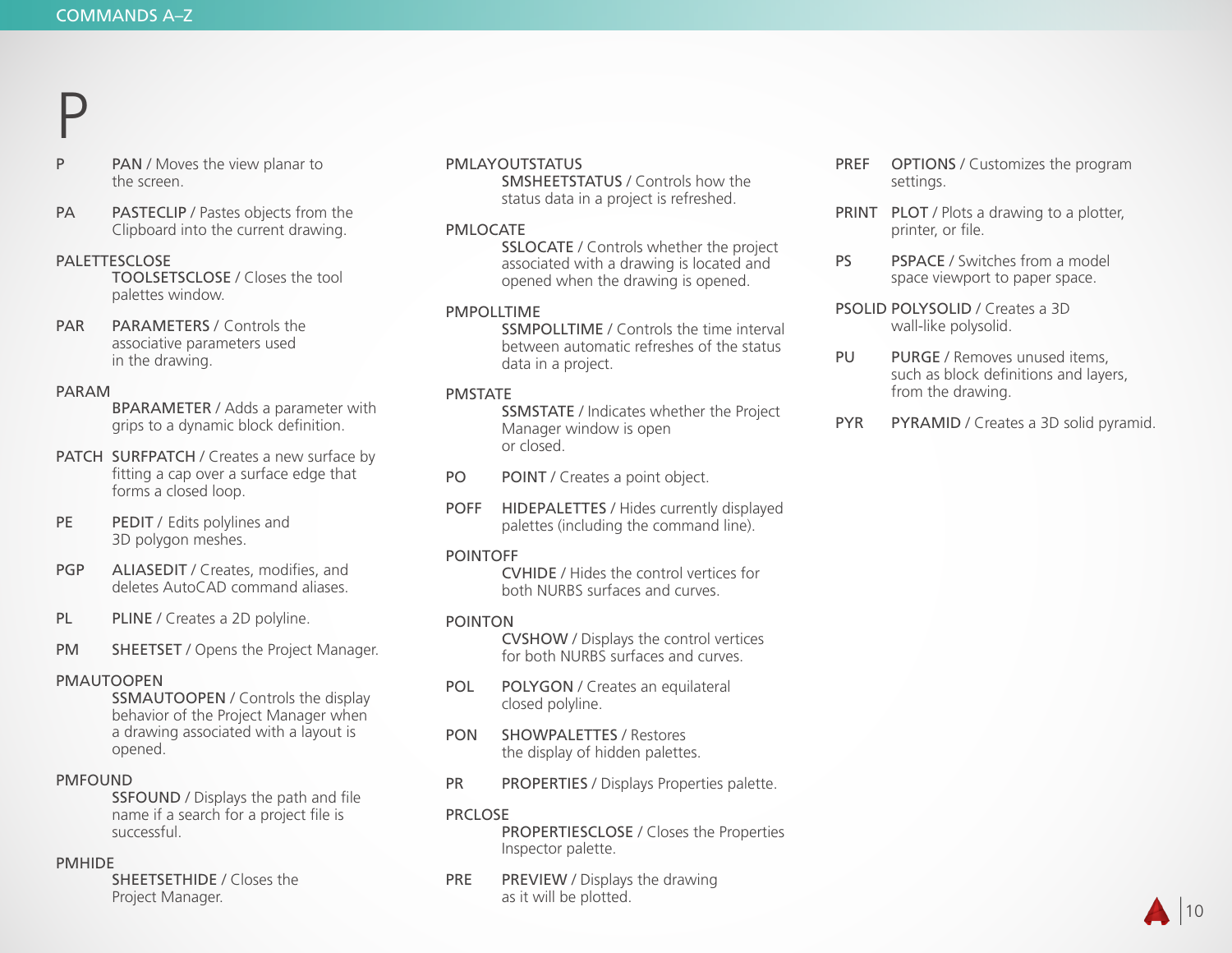### P

- P PAN / Moves the view planar to the screen.
- PA PASTECLIP / Pastes objects from the Clipboard into the current drawing.

#### PALETTESCLOSE

 TOOLSETSCLOSE / Closes the tool palettes window.

PAR PARAMETERS / Controls the associative parameters used in the drawing.

#### PARAM

 BPARAMETER / Adds a parameter with grips to a dynamic block definition.

- PATCH SURFPATCH / Creates a new surface by fitting a cap over a surface edge that forms a closed loop.
- PE PEDIT / Edits polylines and 3D polygon meshes.
- PGP ALIASEDIT / Creates, modifies, and deletes AutoCAD command aliases.
- PL PLINE / Creates a 2D polyline.
- PM SHEETSET / Opens the Project Manager.

### PMAUTOOPEN

 SSMAUTOOPEN / Controls the display behavior of the Project Manager when a drawing associated with a layout is opened.

### PMFOUND

 SSFOUND / Displays the path and file name if a search for a project file is successful.

#### PMHIDE

 SHEETSETHIDE / Closes the Project Manager.

#### PMLAYOUTSTATUS

 SMSHEETSTATUS / Controls how the status data in a project is refreshed.

#### PMLOCATE

 SSLOCATE / Controls whether the project associated with a drawing is located and opened when the drawing is opened.

#### PMPOLLTIME

 SSMPOLLTIME / Controls the time interval between automatic refreshes of the status data in a project.

#### PMSTATE

 SSMSTATE / Indicates whether the Project Manager window is open or closed.

PO POINT / Creates a point object.

POFF HIDEPALETTES / Hides currently displayed palettes (including the command line).

#### POINTOFF

 CVHIDE / Hides the control vertices for both NURBS surfaces and curves.

#### POINTON

 CVSHOW / Displays the control vertices for both NURBS surfaces and curves.

- POL POLYGON / Creates an equilateral closed polyline.
- PON SHOWPALETTES / Restores the display of hidden palettes.
- PR PROPERTIES / Displays Properties palette.

### PRCLOSE

 PROPERTIESCLOSE / Closes the Properties Inspector palette.

PRE PREVIEW / Displays the drawing as it will be plotted.

- PREF OPTIONS / Customizes the program settings.
- PRINT PLOT / Plots a drawing to a plotter, printer, or file.
- PS PSPACE / Switches from a model space viewport to paper space.
- PSOLID POLYSOLID / Creates a 3D wall-like polysolid.
- PU PURGE / Removes unused items, such as block definitions and layers, from the drawing.
- PYR PYRAMID / Creates a 3D solid pyramid.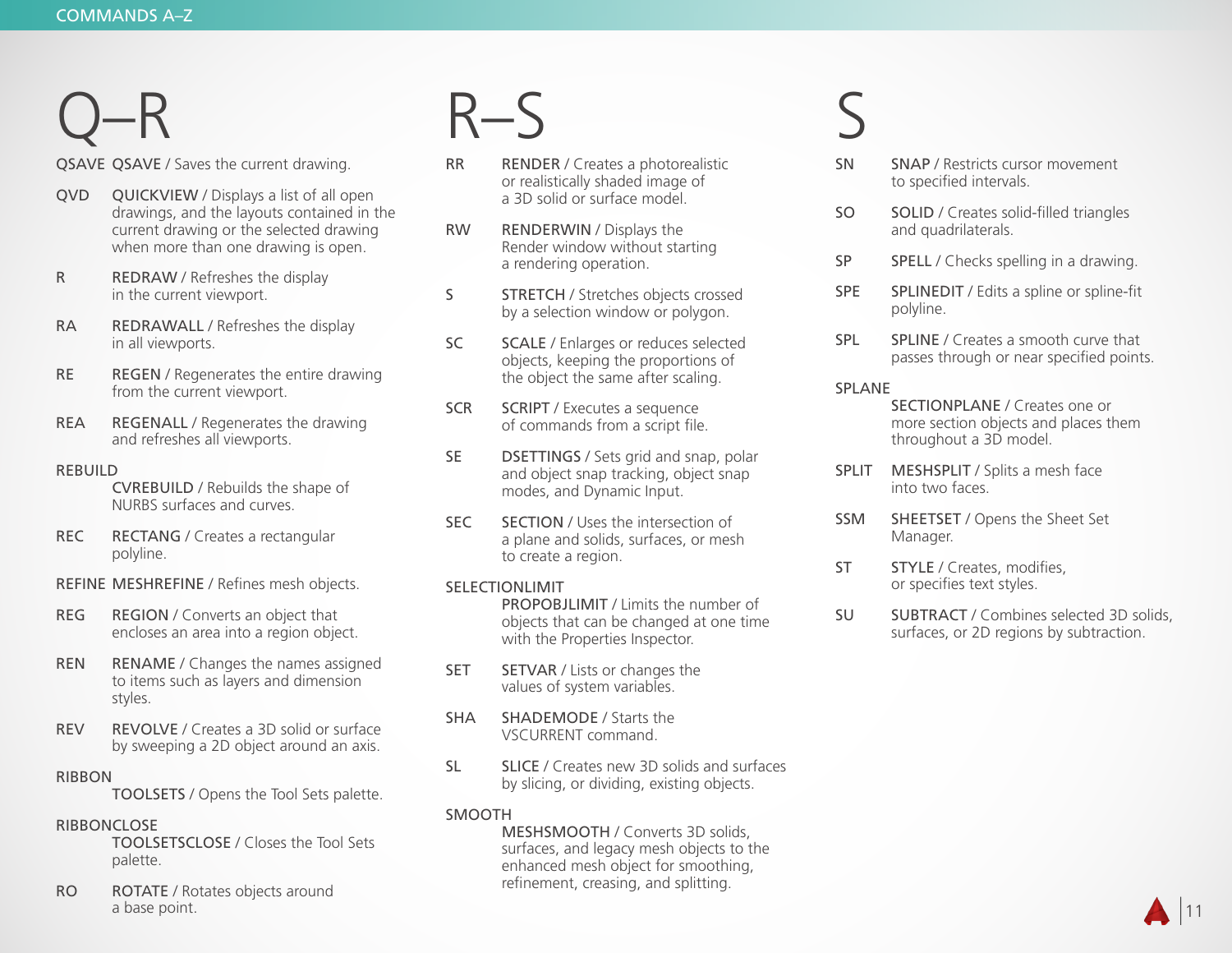## Q–R

QSAVE QSAVE / Saves the current drawing.

- QVD QUICKVIEW / Displays a list of all open drawings, and the layouts contained in the current drawing or the selected drawing when more than one drawing is open.
- R REDRAW / Refreshes the display in the current viewport.
- RA REDRAWALL / Refreshes the display in all viewports.
- RE REGEN / Regenerates the entire drawing from the current viewport.
- REA REGENALL / Regenerates the drawing and refreshes all viewports.

#### REBUILD

 CVREBUILD / Rebuilds the shape of NURBS surfaces and curves.

- REC RECTANG / Creates a rectangular polyline.
- REFINE MESHREFINE / Refines mesh objects.
- REG REGION / Converts an object that encloses an area into a region object.
- REN RENAME / Changes the names assigned to items such as layers and dimension styles.
- REV REVOLVE / Creates a 3D solid or surface by sweeping a 2D object around an axis.

### RIBBON

TOOLSETS / Opens the Tool Sets palette.

#### RIBBONCLOSE

 TOOLSETSCLOSE / Closes the Tool Sets palette.

RO ROTATE / Rotates objects around a base point.

### R–S

- RR RENDER / Creates a photorealistic or realistically shaded image of a 3D solid or surface model.
- RW RENDERWIN / Displays the Render window without starting a rendering operation.
- S **STRETCH** / Stretches objects crossed by a selection window or polygon.
- SC SCALE / Enlarges or reduces selected objects, keeping the proportions of the object the same after scaling.
- SCR SCRIPT / Executes a sequence of commands from a script file.
- SE DSETTINGS / Sets grid and snap, polar and object snap tracking, object snap modes, and Dynamic Input.
- SEC SECTION / Uses the intersection of a plane and solids, surfaces, or mesh to create a region.

### SELECTIONLIMIT

 PROPOBJLIMIT / Limits the number of objects that can be changed at one time with the Properties Inspector.

- **SET SETVAR / Lists or changes the** values of system variables.
- SHA SHADEMODE / Starts the VSCURRENT command.
- SL SLICE / Creates new 3D solids and surfaces by slicing, or dividing, existing objects.

### SMOOTH

 MESHSMOOTH / Converts 3D solids, surfaces, and legacy mesh objects to the enhanced mesh object for smoothing, refinement, creasing, and splitting.

### S

- SN SNAP / Restricts cursor movement to specified intervals.
- SO SOLID / Creates solid-filled triangles and quadrilaterals.
- SP SPELL / Checks spelling in a drawing.
- SPE SPLINEDIT / Edits a spline or spline-fit polyline.
- SPL SPLINE / Creates a smooth curve that passes through or near specified points.

### SPLANE

- SECTIONPLANE / Creates one or more section objects and places them throughout a 3D model.
- SPLIT MESHSPLIT / Splits a mesh face into two faces.
- SSM SHEETSET / Opens the Sheet Set Manager.
- ST STYLE / Creates, modifies, or specifies text styles.
- SU SUBTRACT / Combines selected 3D solids, surfaces, or 2D regions by subtraction.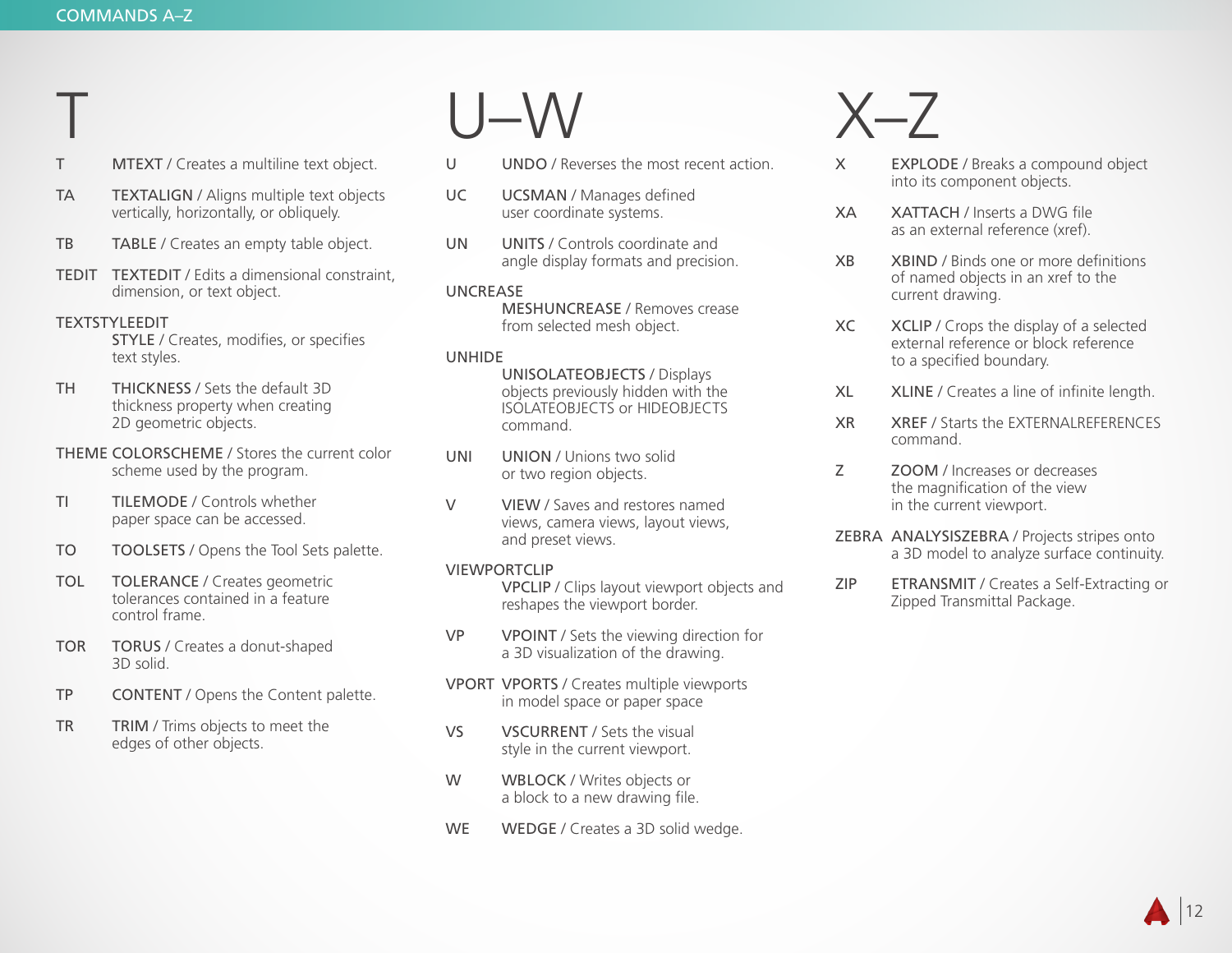T

- T MTEXT / Creates a multiline text object.
- TA TEXTALIGN / Aligns multiple text objects vertically, horizontally, or obliquely.
- TB TABLE / Creates an empty table object.
- TEDIT TEXTEDIT / Edits a dimensional constraint, dimension, or text object.

#### TEXTSTYLEEDIT

 STYLE / Creates, modifies, or specifies text styles.

- TH THICKNESS / Sets the default 3D thickness property when creating 2D geometric objects.
- THEME COLORSCHEME / Stores the current color scheme used by the program.
- TI TILEMODE / Controls whether paper space can be accessed.
- TO TOOLSETS / Opens the Tool Sets palette.
- TOL TOLERANCE / Creates geometric tolerances contained in a feature control frame.
- TOR TORUS / Creates a donut-shaped 3D solid.
- TP CONTENT / Opens the Content palette.
- TR TRIM / Trims objects to meet the edges of other objects.

## U–W

- U UNDO / Reverses the most recent action.
- UC UCSMAN / Manages defined user coordinate systems.
- UN UNITS / Controls coordinate and angle display formats and precision.

#### UNCREASE

 MESHUNCREASE / Removes crease from selected mesh object.

#### UNHIDE

 UNISOLATEOBJECTS / Displays objects previously hidden with the ISOLATEOBJECTS or HIDEOBJECTS command.

- UNI UNION / Unions two solid or two region objects.
- V VIEW / Saves and restores named views, camera views, layout views, and preset views.

#### VIEWPORTCLIP

 VPCLIP / Clips layout viewport objects and reshapes the viewport border.

- VP VPOINT / Sets the viewing direction for a 3D visualization of the drawing.
- VPORT VPORTS / Creates multiple viewports in model space or paper space
- VS VSCURRENT / Sets the visual style in the current viewport.
- W WBLOCK / Writes objects or a block to a new drawing file.
- WE WEDGE / Creates a 3D solid wedge.

### $X - 7$

- X EXPLODE / Breaks a compound object into its component objects.
- XA XATTACH / Inserts a DWG file as an external reference (xref).
- XB XBIND / Binds one or more definitions of named objects in an xref to the current drawing.
- XC XCLIP / Crops the display of a selected external reference or block reference to a specified boundary.
- XL XLINE / Creates a line of infinite length.
- XR XREF / Starts the EXTERNALREFERENCES command.
- Z ZOOM / Increases or decreases the magnification of the view in the current viewport.
- ZEBRA ANALYSISZEBRA / Projects stripes onto a 3D model to analyze surface continuity.
- ZIP ETRANSMIT / Creates a Self-Extracting or Zipped Transmittal Package.